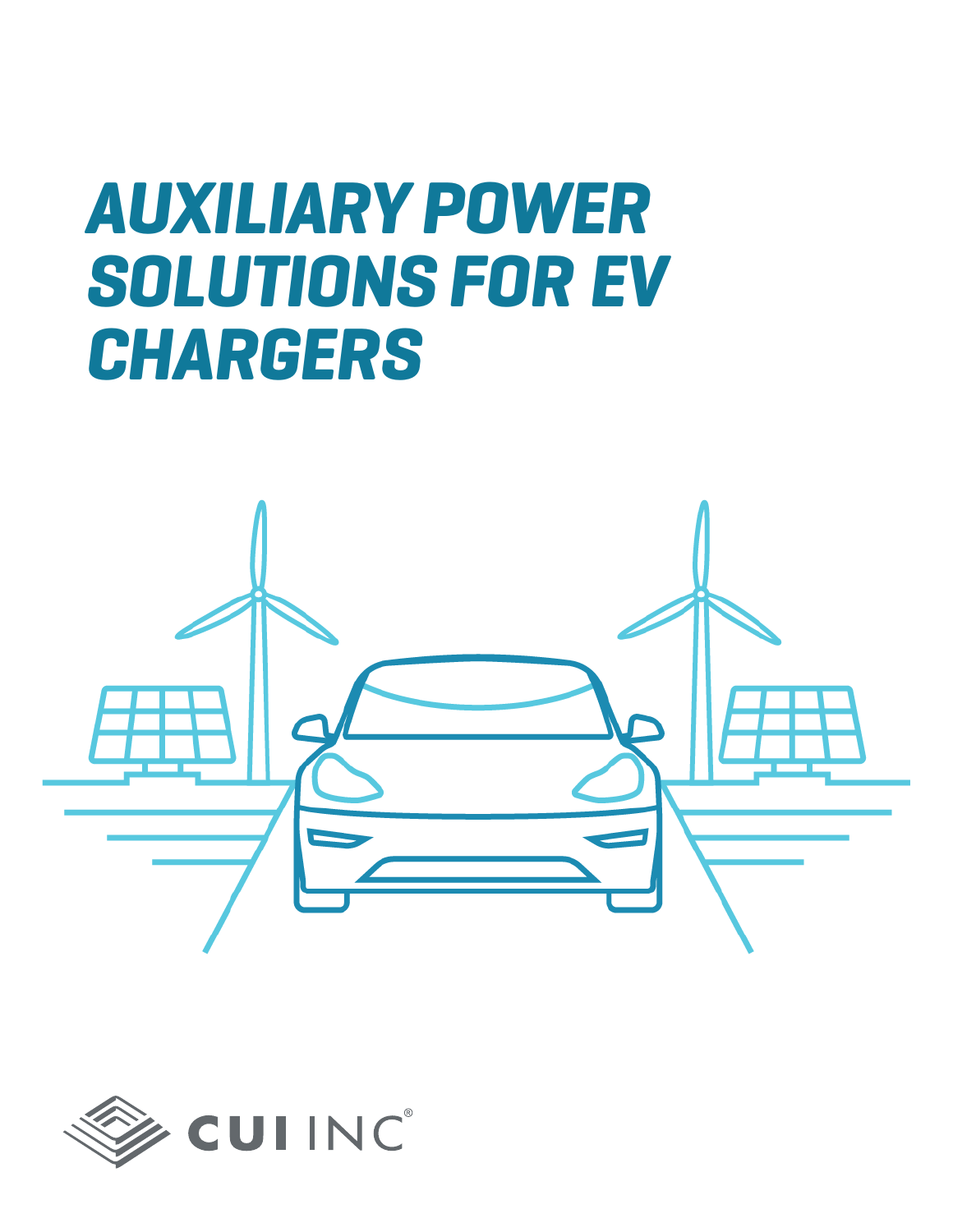# *AUXILIARY POWER SOLUTIONS FOR EV CHARGERS*



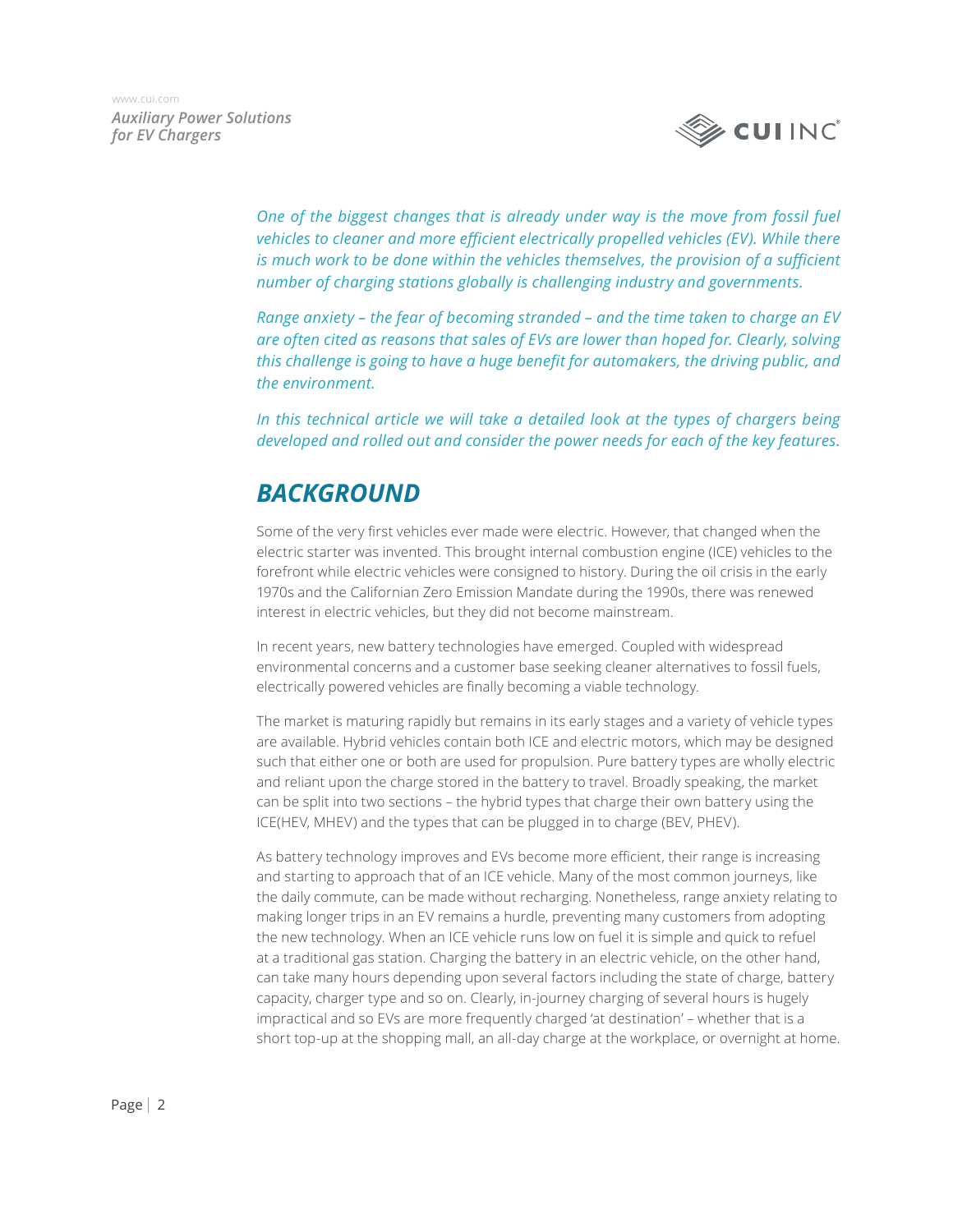

> *One of the biggest changes that is already under way is the move from fossil fuel vehicles to cleaner and more efficient electrically propelled vehicles (EV). While there is much work to be done within the vehicles themselves, the provision of a sufficient number of charging stations globally is challenging industry and governments.*

> *Range anxiety – the fear of becoming stranded – and the time taken to charge an EV are often cited as reasons that sales of EVs are lower than hoped for. Clearly, solving this challenge is going to have a huge benefit for automakers, the driving public, and the environment.*

> *In this technical article we will take a detailed look at the types of chargers being developed and rolled out and consider the power needs for each of the key features.*

## *BACKGROUND*

Some of the very first vehicles ever made were electric. However, that changed when the electric starter was invented. This brought internal combustion engine (ICE) vehicles to the forefront while electric vehicles were consigned to history. During the oil crisis in the early 1970s and the Californian Zero Emission Mandate during the 1990s, there was renewed interest in electric vehicles, but they did not become mainstream.

In recent years, new battery technologies have emerged. Coupled with widespread environmental concerns and a customer base seeking cleaner alternatives to fossil fuels, electrically powered vehicles are finally becoming a viable technology.

The market is maturing rapidly but remains in its early stages and a variety of vehicle types are available. Hybrid vehicles contain both ICE and electric motors, which may be designed such that either one or both are used for propulsion. Pure battery types are wholly electric and reliant upon the charge stored in the battery to travel. Broadly speaking, the market can be split into two sections – the hybrid types that charge their own battery using the ICE(HEV, MHEV) and the types that can be plugged in to charge (BEV, PHEV).

As battery technology improves and EVs become more efficient, their range is increasing and starting to approach that of an ICE vehicle. Many of the most common journeys, like the daily commute, can be made without recharging. Nonetheless, range anxiety relating to making longer trips in an EV remains a hurdle, preventing many customers from adopting the new technology. When an ICE vehicle runs low on fuel it is simple and quick to refuel at a traditional gas station. Charging the battery in an electric vehicle, on the other hand, can take many hours depending upon several factors including the state of charge, battery capacity, charger type and so on. Clearly, in-journey charging of several hours is hugely impractical and so EVs are more frequently charged 'at destination' – whether that is a short top-up at the shopping mall, an all-day charge at the workplace, or overnight at home.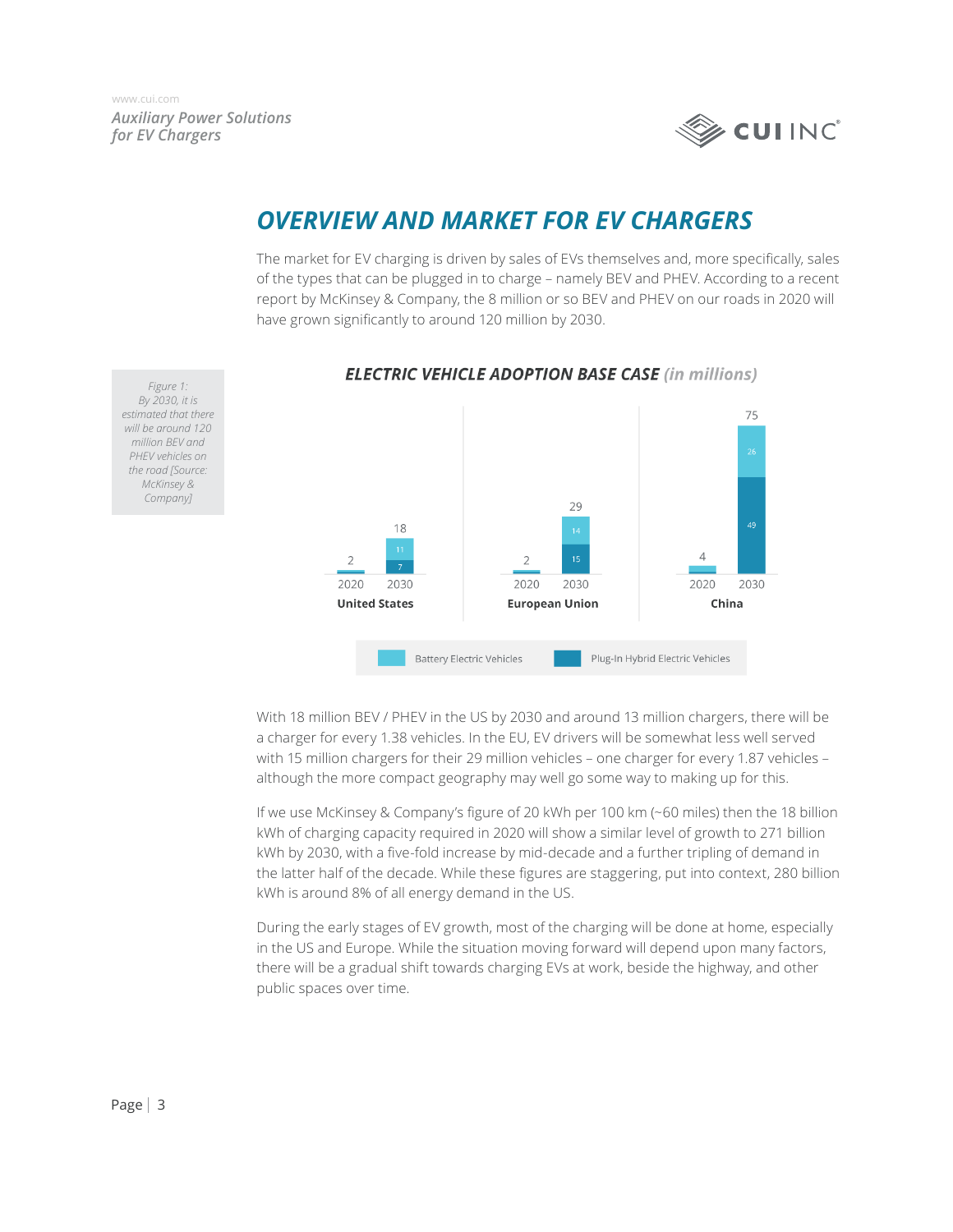

### *OVERVIEW AND MARKET FOR EV CHARGERS*

The market for EV charging is driven by sales of EVs themselves and, more specifically, sales of the types that can be plugged in to charge – namely BEV and PHEV. According to a recent report by McKinsey & Company, the 8 million or so BEV and PHEV on our roads in 2020 will have grown significantly to around 120 million by 2030.



#### **ELECTRIC VEHICLE ADOPTION BASE CASE (in millions)**

With 18 million BEV / PHEV in the US by 2030 and around 13 million chargers, there will be a charger for every 1.38 vehicles. In the EU, EV drivers will be somewhat less well served with 15 million chargers for their 29 million vehicles – one charger for every 1.87 vehicles – although the more compact geography may well go some way to making up for this.

If we use McKinsey & Company's figure of 20 kWh per 100 km (~60 miles) then the 18 billion kWh of charging capacity required in 2020 will show a similar level of growth to 271 billion kWh by 2030, with a five-fold increase by mid-decade and a further tripling of demand in the latter half of the decade. While these figures are staggering, put into context, 280 billion kWh is around 8% of all energy demand in the US.

During the early stages of EV growth, most of the charging will be done at home, especially in the US and Europe. While the situation moving forward will depend upon many factors, there will be a gradual shift towards charging EVs at work, beside the highway, and other public spaces over time.

*Figure 1: By 2030, it is estimated that there will be around 120 million BEV and PHEV vehicles on the road [Source: McKinsey & Company]*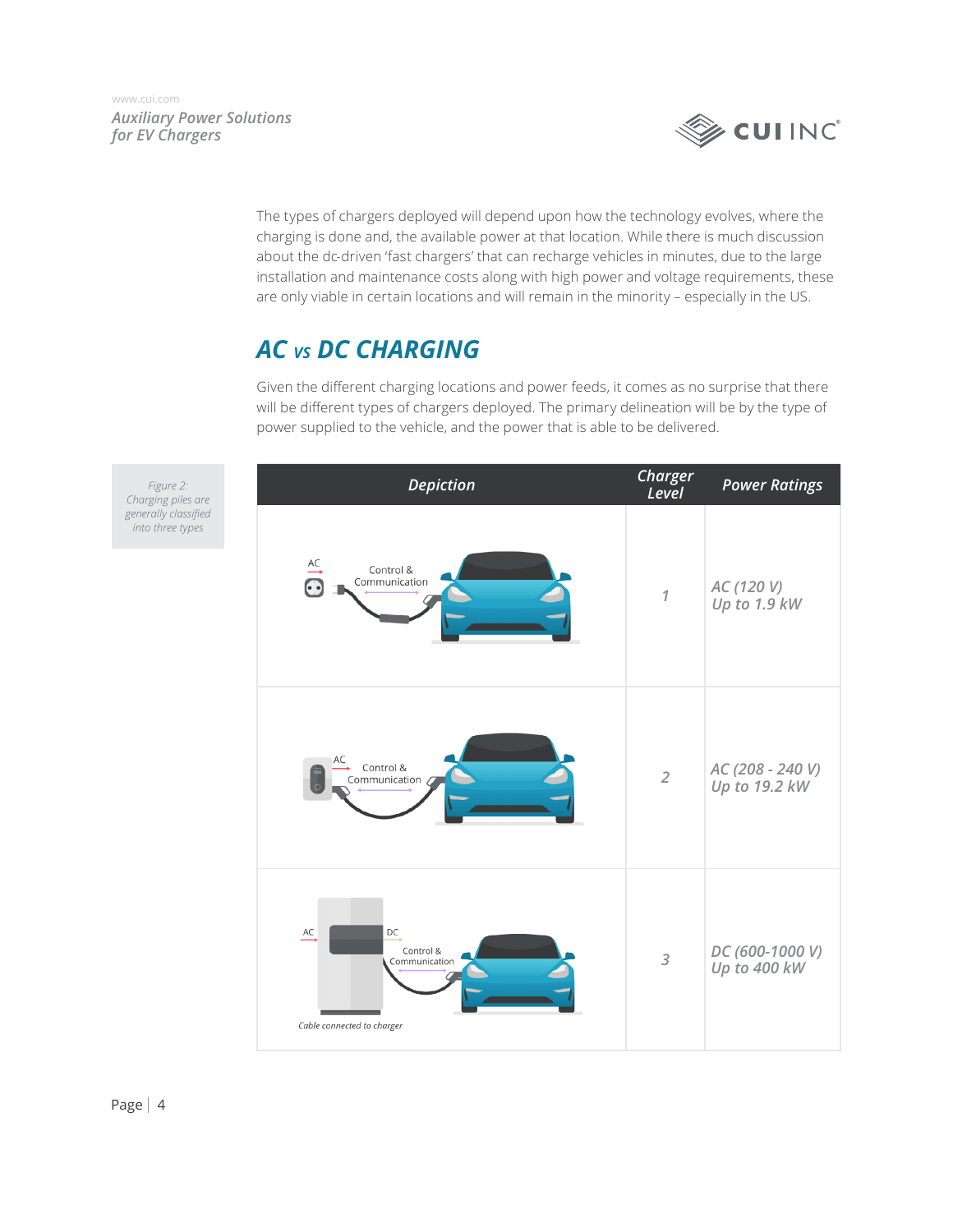

The types of chargers deployed will depend upon how the technology evolves, where the charging is done and, the available power at that location. While there is much discussion about the dc-driven 'fast chargers' that can recharge vehicles in minutes, due to the large installation and maintenance costs along with high power and voltage requirements, these are only viable in certain locations and will remain in the minority – especially in the US.

## *AC vs DC CHARGING*

Given the different charging locations and power feeds, it comes as no surprise that there will be different types of chargers deployed. The primary delineation will be by the type of power supplied to the vehicle, and the power that is able to be delivered.

| <b>Depiction</b>                                                            | Charger<br>Level | <b>Power Ratings</b>              |
|-----------------------------------------------------------------------------|------------------|-----------------------------------|
| $\overset{AC}{\longrightarrow}$<br>Control &<br>Communication<br>$\bigodot$ | $\overline{1}$   | AC (120 V)<br>Up to 1.9 kW        |
| AC<br>Control &<br>Communication 6                                          | $\overline{2}$   | AC (208 - 240 V)<br>Up to 19.2 kW |
| AC<br>DC<br>Control &<br>Communication<br>Cable connected to charger        | $\mathfrak z$    | DC (600-1000 V)<br>Up to 400 kW   |

*Figure 2: Charging piles are generally classified into three types*

*Auxiliary Power Solutions* 

*for EV Chargers*

[www.cui.com](https://www.cui.com)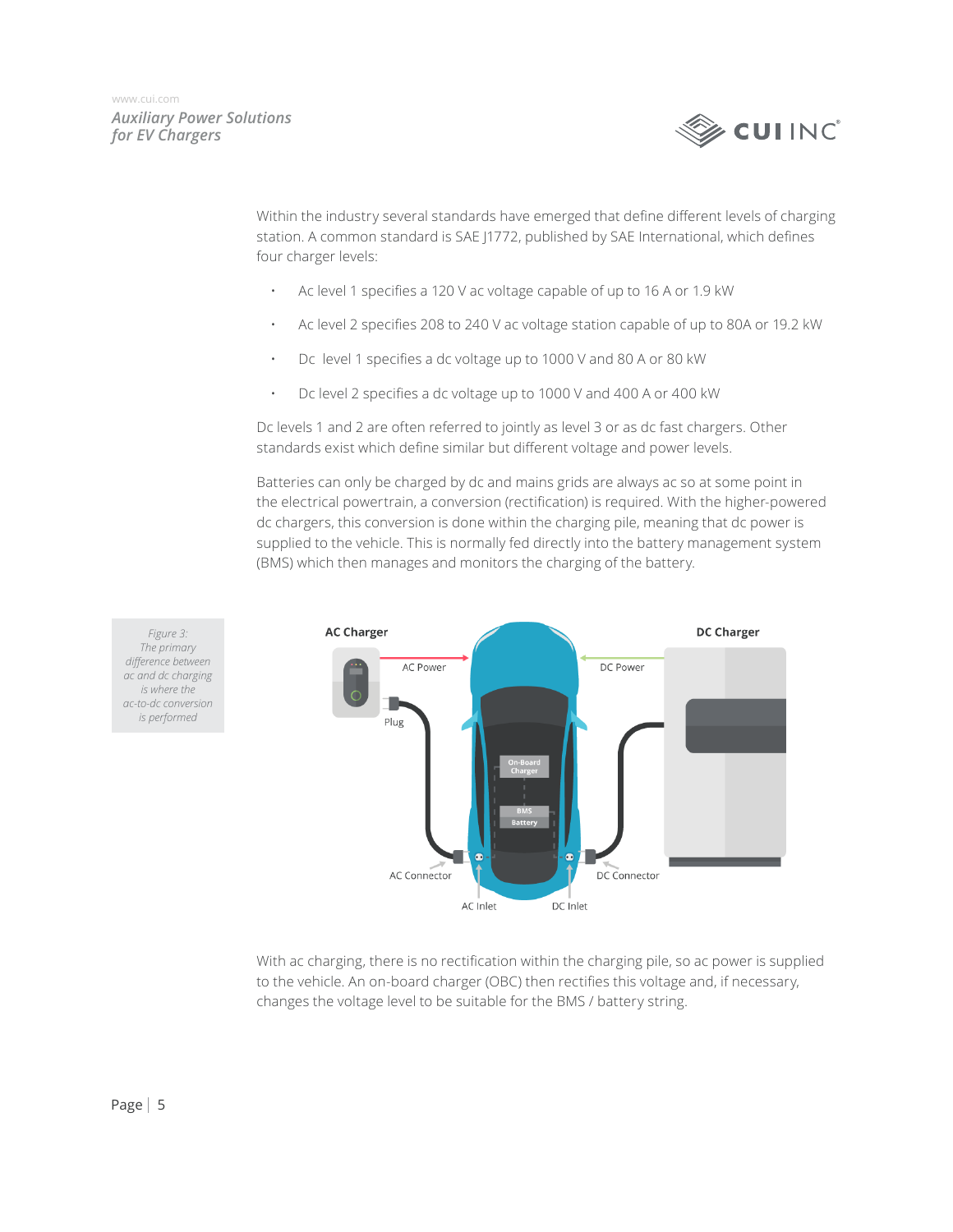

Within the industry several standards have emerged that define different levels of charging station. A common standard is SAE J1772, published by SAE International, which defines four charger levels:

- Ac level 1 specifies a 120 V ac voltage capable of up to 16 A or 1.9 kW
- Ac level 2 specifies 208 to 240 V ac voltage station capable of up to 80A or 19.2 kW
- Dc level 1 specifies a dc voltage up to 1000 V and 80 A or 80 kW
- Dc level 2 specifies a dc voltage up to 1000 V and 400 A or 400 kW

Dc levels 1 and 2 are often referred to jointly as level 3 or as dc fast chargers. Other standards exist which define similar but different voltage and power levels.

Batteries can only be charged by dc and mains grids are always ac so at some point in the electrical powertrain, a conversion (rectification) is required. With the higher-powered dc chargers, this conversion is done within the charging pile, meaning that dc power is supplied to the vehicle. This is normally fed directly into the battery management system (BMS) which then manages and monitors the charging of the battery.



*Figure 3: The primary difference between ac and dc charging is where the ac-to-dc conversion is performed*

> With ac charging, there is no rectification within the charging pile, so ac power is supplied to the vehicle. An on-board charger (OBC) then rectifies this voltage and, if necessary, changes the voltage level to be suitable for the BMS / battery string.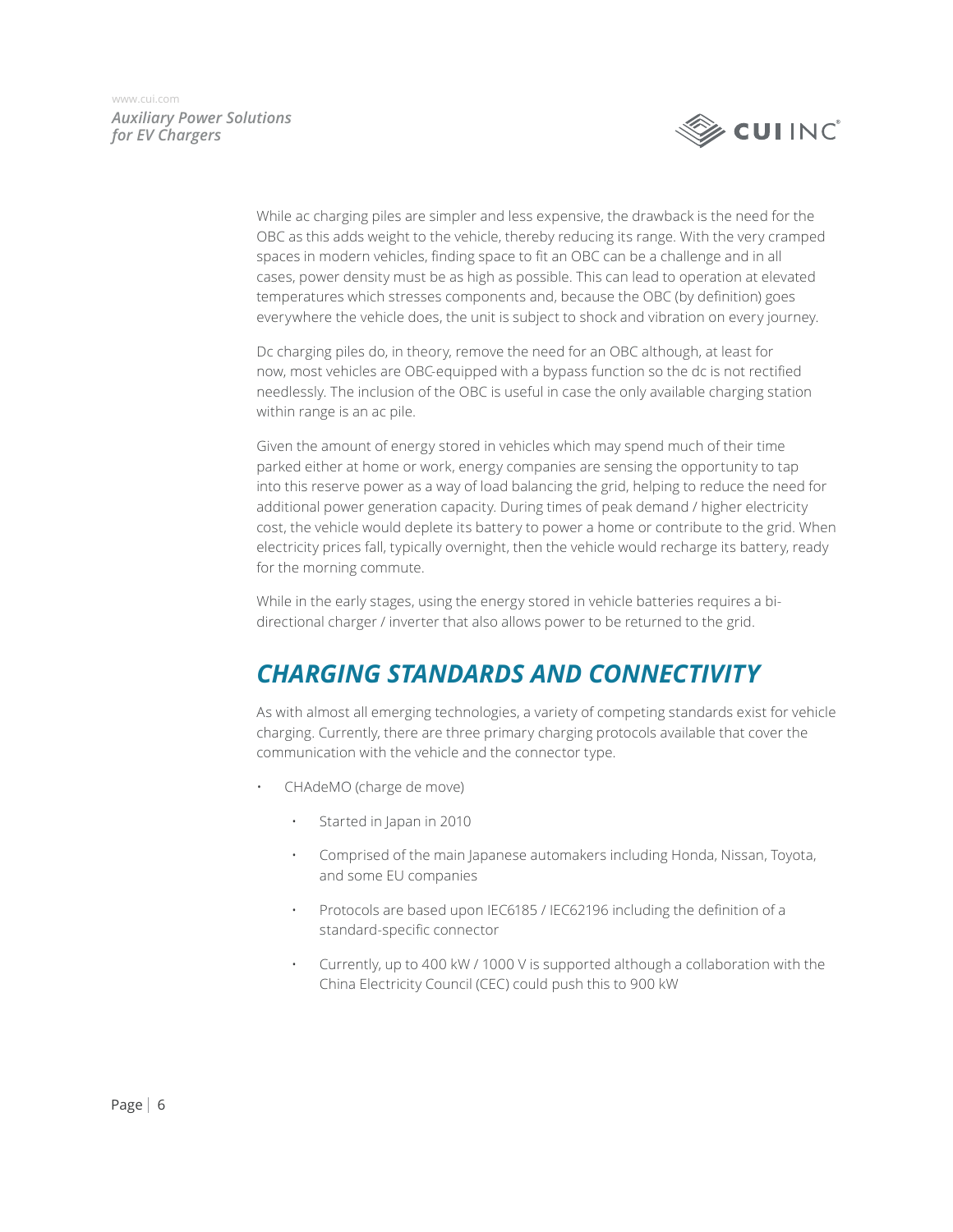

> While ac charging piles are simpler and less expensive, the drawback is the need for the OBC as this adds weight to the vehicle, thereby reducing its range. With the very cramped spaces in modern vehicles, finding space to fit an OBC can be a challenge and in all cases, power density must be as high as possible. This can lead to operation at elevated temperatures which stresses components and, because the OBC (by definition) goes everywhere the vehicle does, the unit is subject to shock and vibration on every journey.

Dc charging piles do, in theory, remove the need for an OBC although, at least for now, most vehicles are OBC-equipped with a bypass function so the dc is not rectified needlessly. The inclusion of the OBC is useful in case the only available charging station within range is an ac pile.

Given the amount of energy stored in vehicles which may spend much of their time parked either at home or work, energy companies are sensing the opportunity to tap into this reserve power as a way of load balancing the grid, helping to reduce the need for additional power generation capacity. During times of peak demand / higher electricity cost, the vehicle would deplete its battery to power a home or contribute to the grid. When electricity prices fall, typically overnight, then the vehicle would recharge its battery, ready for the morning commute.

While in the early stages, using the energy stored in vehicle batteries requires a bidirectional charger / inverter that also allows power to be returned to the grid.

## *CHARGING STANDARDS AND CONNECTIVITY*

As with almost all emerging technologies, a variety of competing standards exist for vehicle charging. Currently, there are three primary charging protocols available that cover the communication with the vehicle and the connector type.

- CHAdeMO (charge de move)
	- Started in Japan in 2010
	- Comprised of the main Japanese automakers including Honda, Nissan, Toyota, and some EU companies
	- Protocols are based upon IEC6185 / IEC62196 including the definition of a standard-specific connector
	- Currently, up to 400 kW / 1000 V is supported although a collaboration with the China Electricity Council (CEC) could push this to 900 kW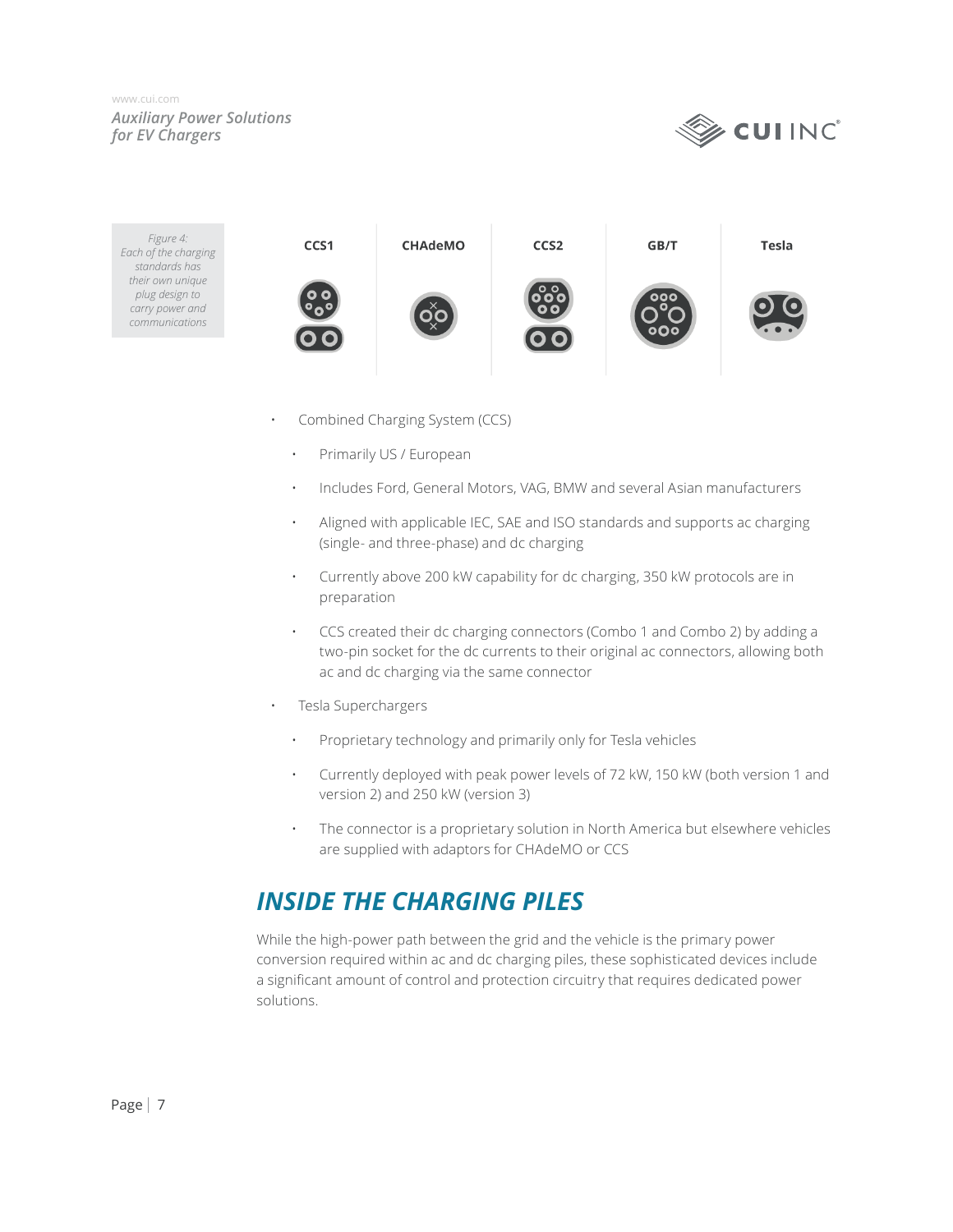

*Figure 4:* CCS1 **CHAdeMO** CCS<sub>2</sub> GB/T **Tesla** *Each of the charging standards has their own unique plug design to carry power and communications*

- Combined Charging System (CCS)
	- Primarily US / European
	- Includes Ford, General Motors, VAG, BMW and several Asian manufacturers
	- Aligned with applicable IEC, SAE and ISO standards and supports ac charging (single- and three-phase) and dc charging
	- Currently above 200 kW capability for dc charging, 350 kW protocols are in preparation
	- CCS created their dc charging connectors (Combo 1 and Combo 2) by adding a two-pin socket for the dc currents to their original ac connectors, allowing both ac and dc charging via the same connector
- Tesla Superchargers
	- Proprietary technology and primarily only for Tesla vehicles
	- Currently deployed with peak power levels of 72 kW, 150 kW (both version 1 and version 2) and 250 kW (version 3)
	- The connector is a proprietary solution in North America but elsewhere vehicles are supplied with adaptors for CHAdeMO or CCS

## *INSIDE THE CHARGING PILES*

While the high-power path between the grid and the vehicle is the primary power conversion required within ac and dc charging piles, these sophisticated devices include a significant amount of control and protection circuitry that requires dedicated power solutions.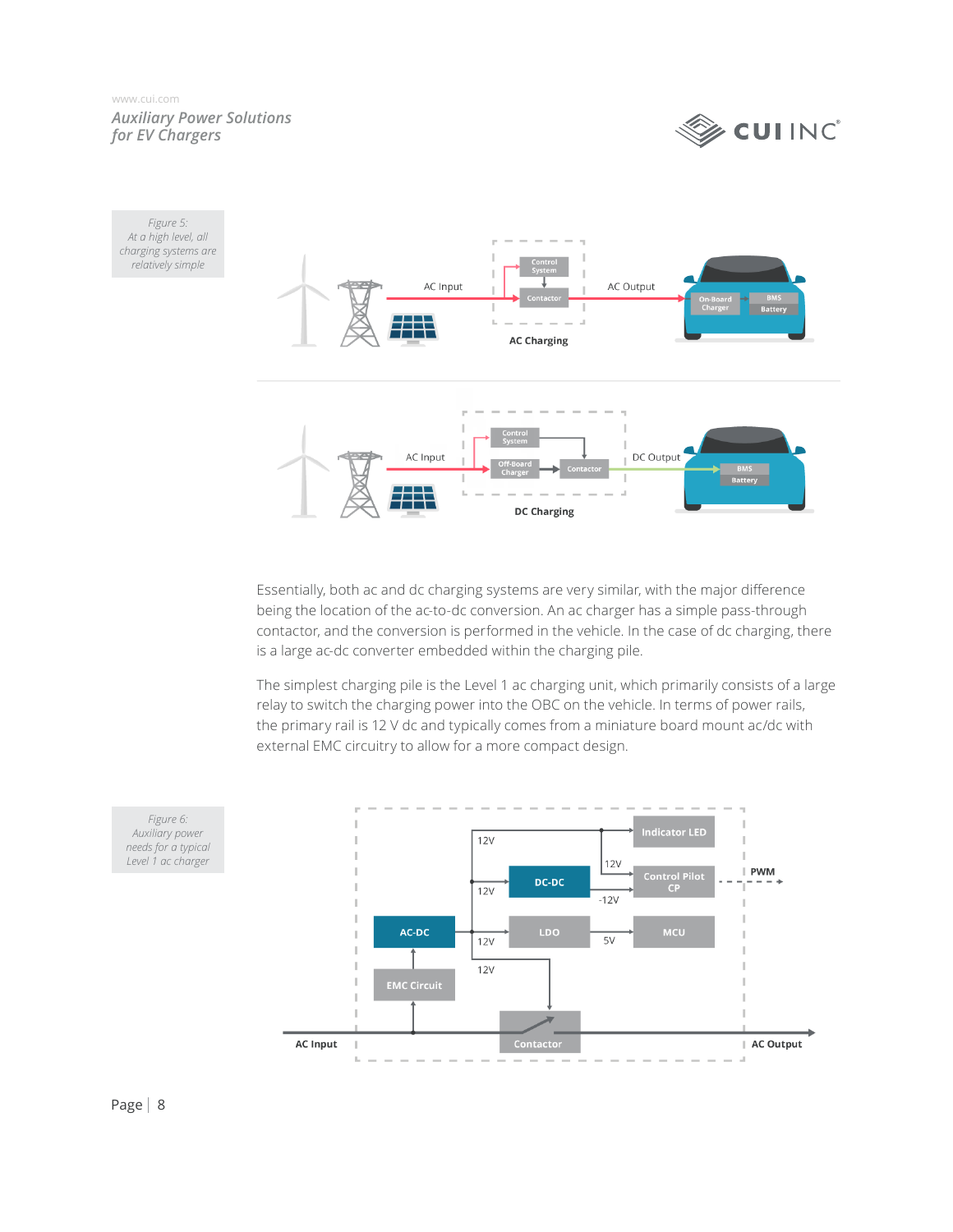



Essentially, both ac and dc charging systems are very similar, with the major difference being the location of the ac-to-dc conversion. An ac charger has a simple pass-through contactor, and the conversion is performed in the vehicle. In the case of dc charging, there is a large ac-dc converter embedded within the charging pile.

The simplest charging pile is the Level 1 ac charging unit, which primarily consists of a large relay to switch the charging power into the OBC on the vehicle. In terms of power rails, the primary rail is 12 V dc and typically comes from a miniature board mount ac/dc with external EMC circuitry to allow for a more compact design.

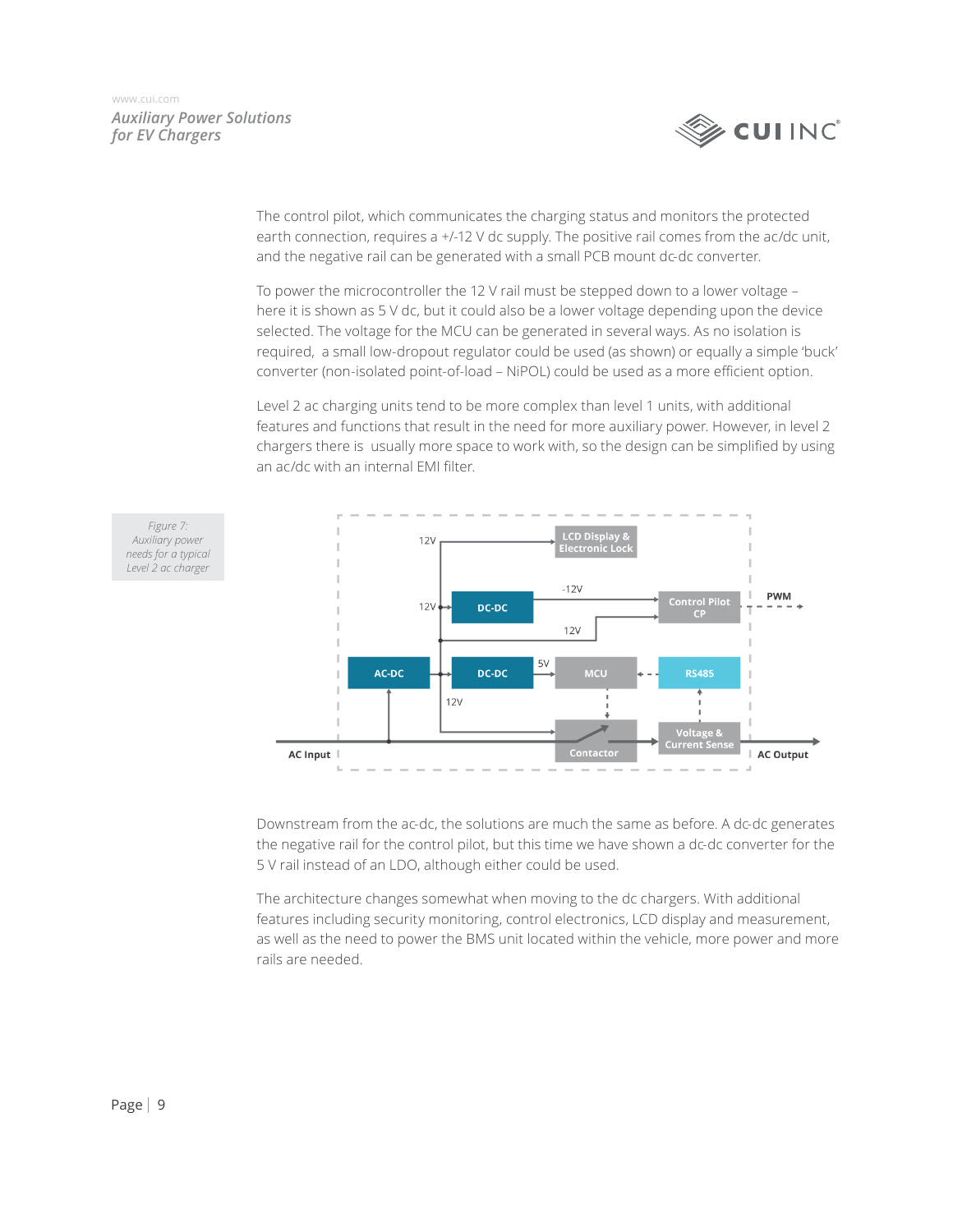*Figure 7: Auxiliary power needs for a typical Level 2 ac charger*



The control pilot, which communicates the charging status and monitors the protected earth connection, requires a +/-12 V dc supply. The positive rail comes from the ac/dc unit, and the negative rail can be generated with a small PCB mount dc-dc converter.

To power the microcontroller the 12 V rail must be stepped down to a lower voltage – here it is shown as 5 V dc, but it could also be a lower voltage depending upon the device selected. The voltage for the MCU can be generated in several ways. As no isolation is required, a small low-dropout regulator could be used (as shown) or equally a simple 'buck' converter (non-isolated point-of-load – NiPOL) could be used as a more efficient option.

Level 2 ac charging units tend to be more complex than level 1 units, with additional features and functions that result in the need for more auxiliary power. However, in level 2 chargers there is usually more space to work with, so the design can be simplified by using an ac/dc with an internal EMI filter.



Downstream from the ac-dc, the solutions are much the same as before. A dc-dc generates the negative rail for the control pilot, but this time we have shown a dc-dc converter for the 5 V rail instead of an LDO, although either could be used.

The architecture changes somewhat when moving to the dc chargers. With additional features including security monitoring, control electronics, LCD display and measurement, as well as the need to power the BMS unit located within the vehicle, more power and more rails are needed.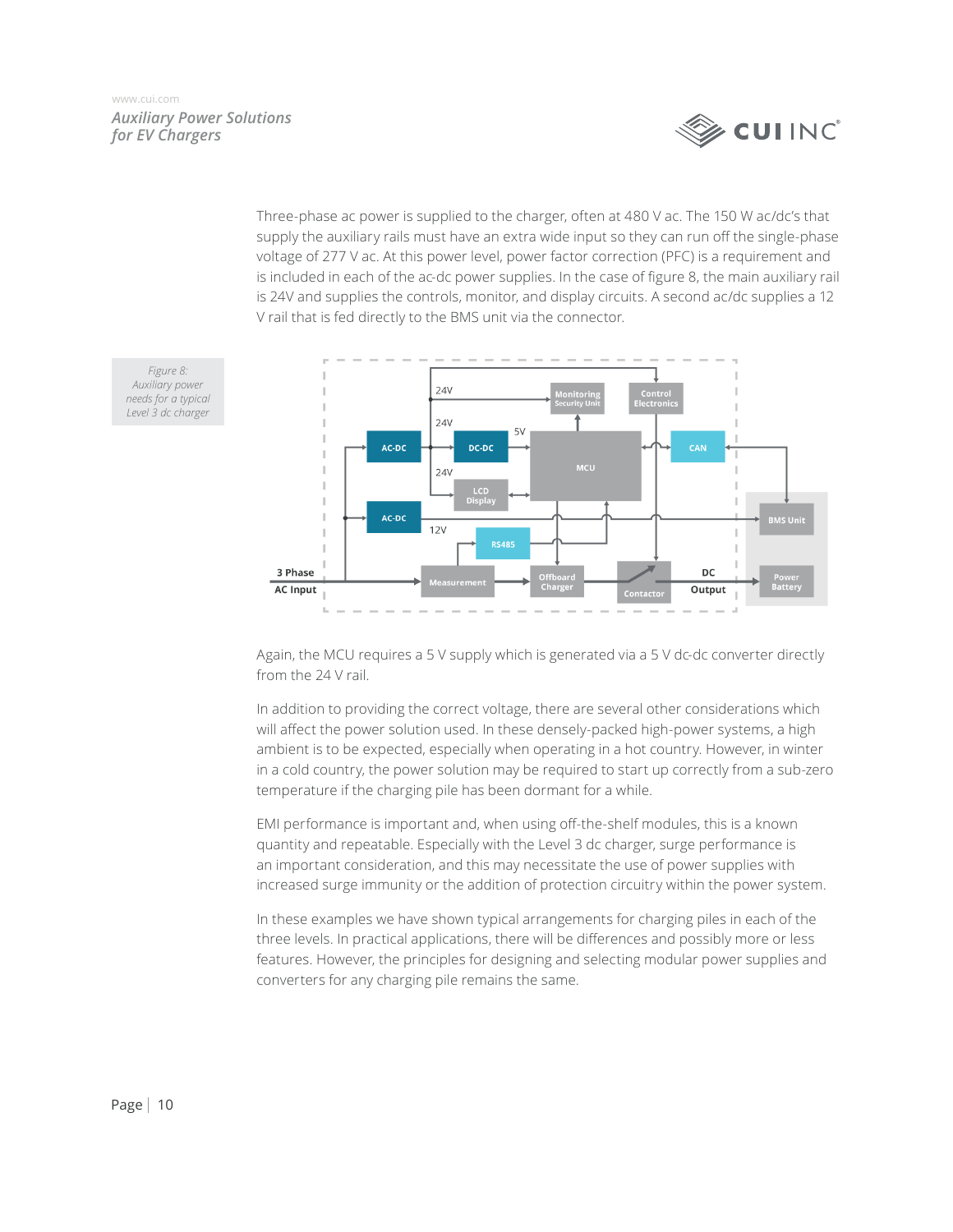## **EUI INC**

*Auxiliary Power Solutions for EV Chargers* [www.cui.com](https://www.cui.com)

> Three-phase ac power is supplied to the charger, often at 480 V ac. The 150 W ac/dc's that supply the auxiliary rails must have an extra wide input so they can run off the single-phase voltage of 277 V ac. At this power level, power factor correction (PFC) is a requirement and is included in each of the ac-dc power supplies. In the case of figure 8, the main auxiliary rail is 24V and supplies the controls, monitor, and display circuits. A second ac/dc supplies a 12 V rail that is fed directly to the BMS unit via the connector.



Again, the MCU requires a 5 V supply which is generated via a 5 V dc-dc converter directly from the 24 V rail.

In addition to providing the correct voltage, there are several other considerations which will affect the power solution used. In these densely-packed high-power systems, a high ambient is to be expected, especially when operating in a hot country. However, in winter in a cold country, the power solution may be required to start up correctly from a sub-zero temperature if the charging pile has been dormant for a while.

EMI performance is important and, when using off-the-shelf modules, this is a known quantity and repeatable. Especially with the Level 3 dc charger, surge performance is an important consideration, and this may necessitate the use of power supplies with increased surge immunity or the addition of protection circuitry within the power system.

In these examples we have shown typical arrangements for charging piles in each of the three levels. In practical applications, there will be differences and possibly more or less features. However, the principles for designing and selecting modular power supplies and converters for any charging pile remains the same.